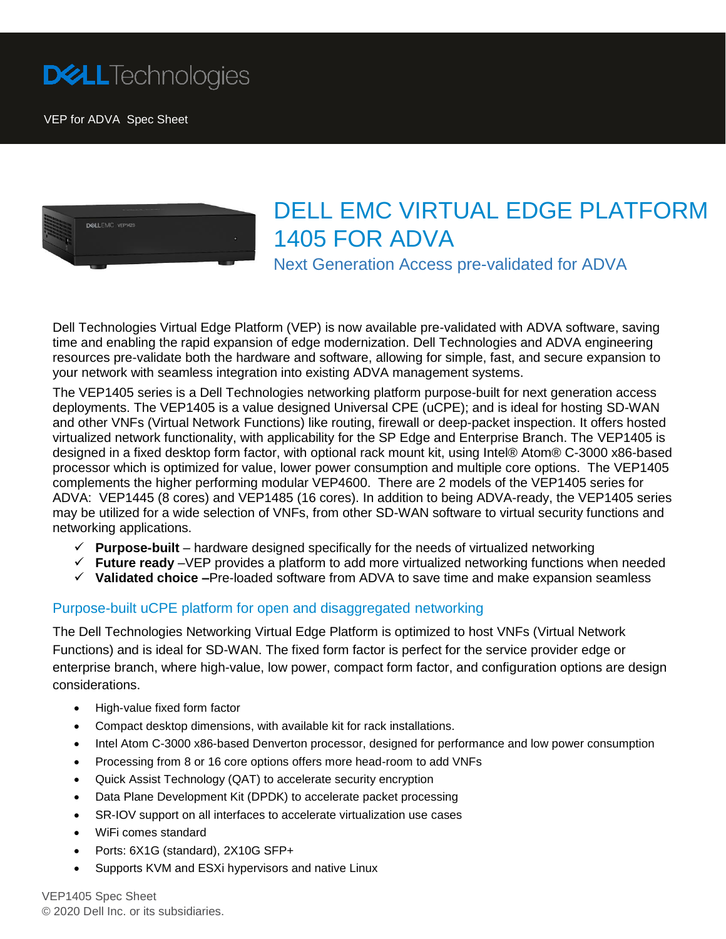

VEP for ADVA Spec Sheet



# DELL EMC VIRTUAL EDGE PLATFORM 1405 FOR ADVA

Next Generation Access pre-validated for ADVA

Dell Technologies Virtual Edge Platform (VEP) is now available pre-validated with ADVA software, saving time and enabling the rapid expansion of edge modernization. Dell Technologies and ADVA engineering resources pre-validate both the hardware and software, allowing for simple, fast, and secure expansion to your network with seamless integration into existing ADVA management systems.

The VEP1405 series is a Dell Technologies networking platform purpose-built for next generation access deployments. The VEP1405 is a value designed Universal CPE (uCPE); and is ideal for hosting SD-WAN and other VNFs (Virtual Network Functions) like routing, firewall or deep-packet inspection. It offers hosted virtualized network functionality, with applicability for the SP Edge and Enterprise Branch. The VEP1405 is designed in a fixed desktop form factor, with optional rack mount kit, using Intel® Atom® C-3000 x86-based processor which is optimized for value, lower power consumption and multiple core options. The VEP1405 complements the higher performing modular VEP4600. There are 2 models of the VEP1405 series for ADVA: VEP1445 (8 cores) and VEP1485 (16 cores). In addition to being ADVA-ready, the VEP1405 series may be utilized for a wide selection of VNFs, from other SD-WAN software to virtual security functions and networking applications.

- $\checkmark$  Purpose-built hardware designed specifically for the needs of virtualized networking
- **Future ready** –VEP provides a platform to add more virtualized networking functions when needed
- **Validated choice –**Pre-loaded software from ADVA to save time and make expansion seamless

#### Purpose-built uCPE platform for open and disaggregated networking

The Dell Technologies Networking Virtual Edge Platform is optimized to host VNFs (Virtual Network Functions) and is ideal for SD-WAN. The fixed form factor is perfect for the service provider edge or enterprise branch, where high-value, low power, compact form factor, and configuration options are design considerations.

- High-value fixed form factor
- Compact desktop dimensions, with available kit for rack installations.
- Intel Atom C-3000 x86-based Denverton processor, designed for performance and low power consumption
- Processing from 8 or 16 core options offers more head-room to add VNFs
- Quick Assist Technology (QAT) to accelerate security encryption
- Data Plane Development Kit (DPDK) to accelerate packet processing
- SR-IOV support on all interfaces to accelerate virtualization use cases
- WiFi comes standard
- Ports: 6X1G (standard), 2X10G SFP+
- Supports KVM and ESXi hypervisors and native Linux

VEP1405 Spec Sheet © 2020 Dell Inc. or its subsidiaries.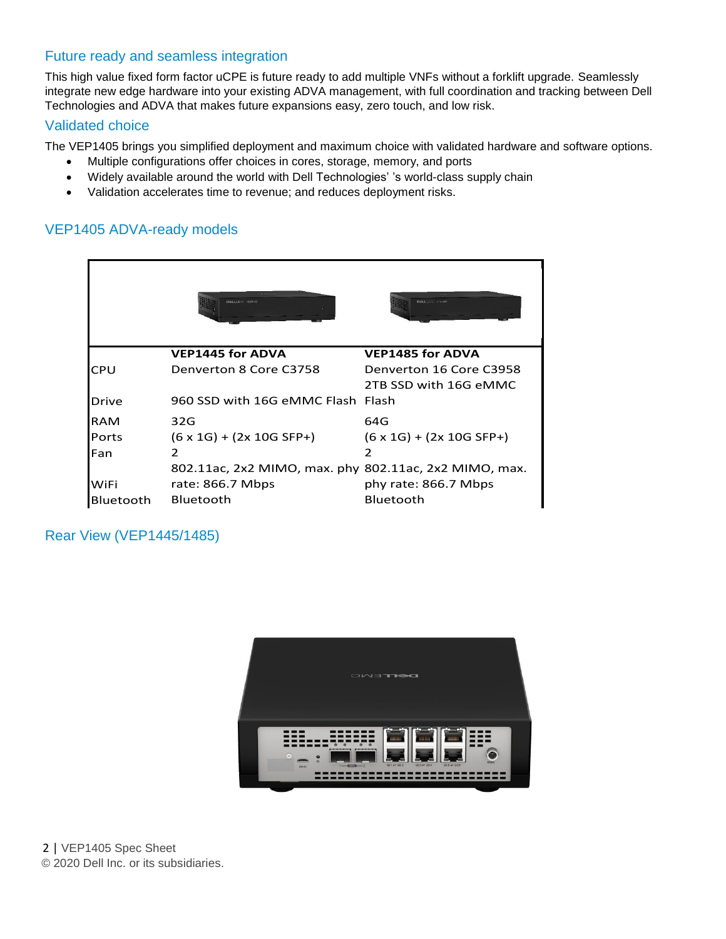### Future ready and seamless integration

This high value fixed form factor uCPE is future ready to add multiple VNFs without a forklift upgrade. Seamlessly integrate new edge hardware into your existing ADVA management, with full coordination and tracking between Dell Technologies and ADVA that makes future expansions easy, zero touch, and low risk.

#### Validated choice

The VEP1405 brings you simplified deployment and maximum choice with validated hardware and software options.

- Multiple configurations offer choices in cores, storage, memory, and ports
- Widely available around the world with Dell Technologies' 's world-class supply chain
- Validation accelerates time to revenue; and reduces deployment risks.

## VEP1405 ADVA-ready models

|                  | <b>Didol L. H.M.C. ARPSENT</b>                        | DOLL TAYS VIDEO                       |
|------------------|-------------------------------------------------------|---------------------------------------|
|                  | <b>VEP1445 for ADVA</b>                               | <b>VEP1485 for ADVA</b>               |
| <b>CPU</b>       | Denverton 8 Core C3758                                | Denverton 16 Core C3958               |
|                  |                                                       | 2TB SSD with 16G eMMC                 |
| Drive            | 960 SSD with 16G eMMC Flash Flash                     |                                       |
| <b>RAM</b>       | 32G                                                   | 64G                                   |
| <b>Ports</b>     | $(6 \times 1G) + (2 \times 10G SFP+)$                 | $(6 \times 1G) + (2 \times 10G SFP+)$ |
| Fan              | 2                                                     |                                       |
|                  | 802.11ac, 2x2 MIMO, max. phy 802.11ac, 2x2 MIMO, max. |                                       |
| WiFi             | rate: $866.7$ Mbps                                    | phy rate: 866.7 Mbps                  |
| <b>Bluetooth</b> | <b>Bluetooth</b>                                      | Bluetooth                             |

#### Rear View (VEP1445/1485)



 2 | VEP1405 Spec Sheet © 2020 Dell Inc. or its subsidiaries.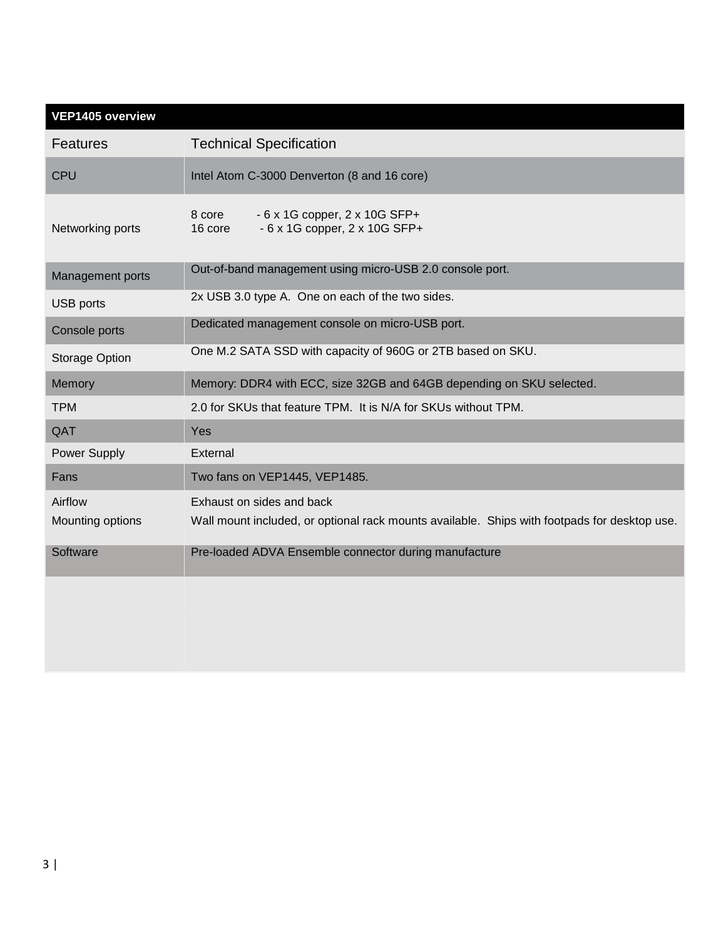| VEP1405 overview            |                                                                                                                           |  |
|-----------------------------|---------------------------------------------------------------------------------------------------------------------------|--|
| <b>Features</b>             | <b>Technical Specification</b>                                                                                            |  |
| <b>CPU</b>                  | Intel Atom C-3000 Denverton (8 and 16 core)                                                                               |  |
| Networking ports            | 8 core<br>$-6x1G$ copper, $2x10G$ SFP+<br>$-6x1G$ copper, $2x10G$ SFP+<br>16 core                                         |  |
| Management ports            | Out-of-band management using micro-USB 2.0 console port.                                                                  |  |
| <b>USB</b> ports            | 2x USB 3.0 type A. One on each of the two sides.                                                                          |  |
| Console ports               | Dedicated management console on micro-USB port.                                                                           |  |
| Storage Option              | One M.2 SATA SSD with capacity of 960G or 2TB based on SKU.                                                               |  |
| Memory                      | Memory: DDR4 with ECC, size 32GB and 64GB depending on SKU selected.                                                      |  |
| <b>TPM</b>                  | 2.0 for SKUs that feature TPM. It is N/A for SKUs without TPM.                                                            |  |
| QAT                         | Yes                                                                                                                       |  |
| Power Supply                | External                                                                                                                  |  |
| Fans                        | Two fans on VEP1445, VEP1485.                                                                                             |  |
| Airflow<br>Mounting options | Exhaust on sides and back<br>Wall mount included, or optional rack mounts available. Ships with footpads for desktop use. |  |
| Software                    | Pre-loaded ADVA Ensemble connector during manufacture                                                                     |  |
|                             |                                                                                                                           |  |
|                             |                                                                                                                           |  |
|                             |                                                                                                                           |  |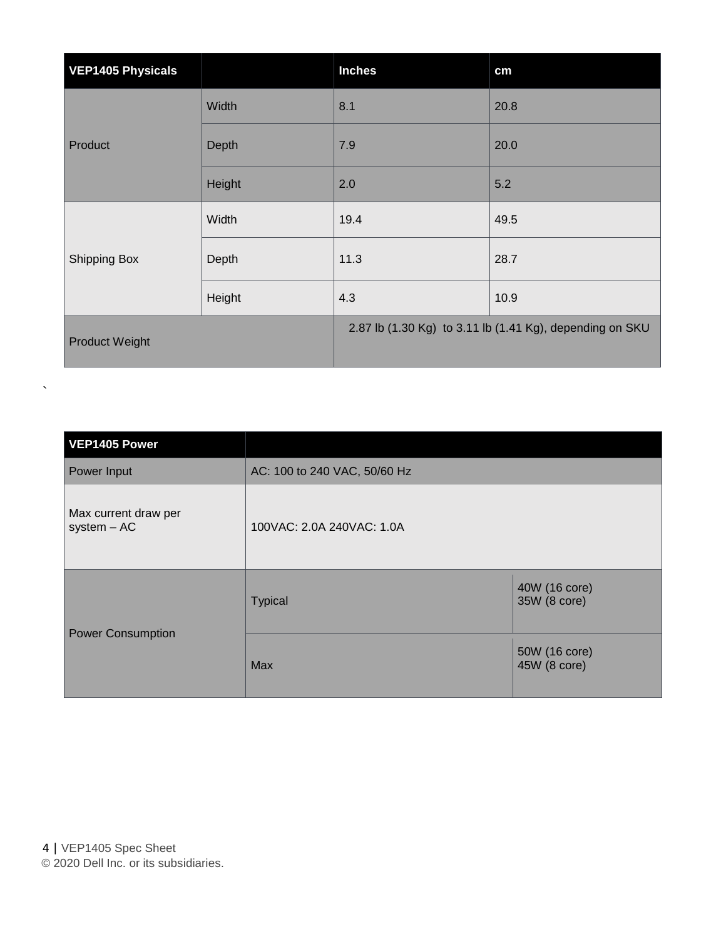| <b>VEP1405 Physicals</b> |        | <b>Inches</b>                                            | cm   |
|--------------------------|--------|----------------------------------------------------------|------|
| Product                  | Width  | 8.1                                                      | 20.8 |
|                          | Depth  | 7.9                                                      | 20.0 |
|                          | Height | 2.0                                                      | 5.2  |
|                          | Width  | 19.4                                                     | 49.5 |
| <b>Shipping Box</b>      | Depth  | 11.3                                                     | 28.7 |
|                          | Height | 4.3                                                      | 10.9 |
| <b>Product Weight</b>    |        | 2.87 lb (1.30 Kg) to 3.11 lb (1.41 Kg), depending on SKU |      |

| VEP1405 Power                         |                              |                               |
|---------------------------------------|------------------------------|-------------------------------|
| Power Input                           | AC: 100 to 240 VAC, 50/60 Hz |                               |
| Max current draw per<br>$system - AC$ | 100VAC: 2.0A 240VAC: 1.0A    |                               |
|                                       | <b>Typical</b>               | 40W (16 core)<br>35W (8 core) |
| <b>Power Consumption</b>              | Max                          | 50W (16 core)<br>45W (8 core) |

 $\ddot{\phantom{0}}$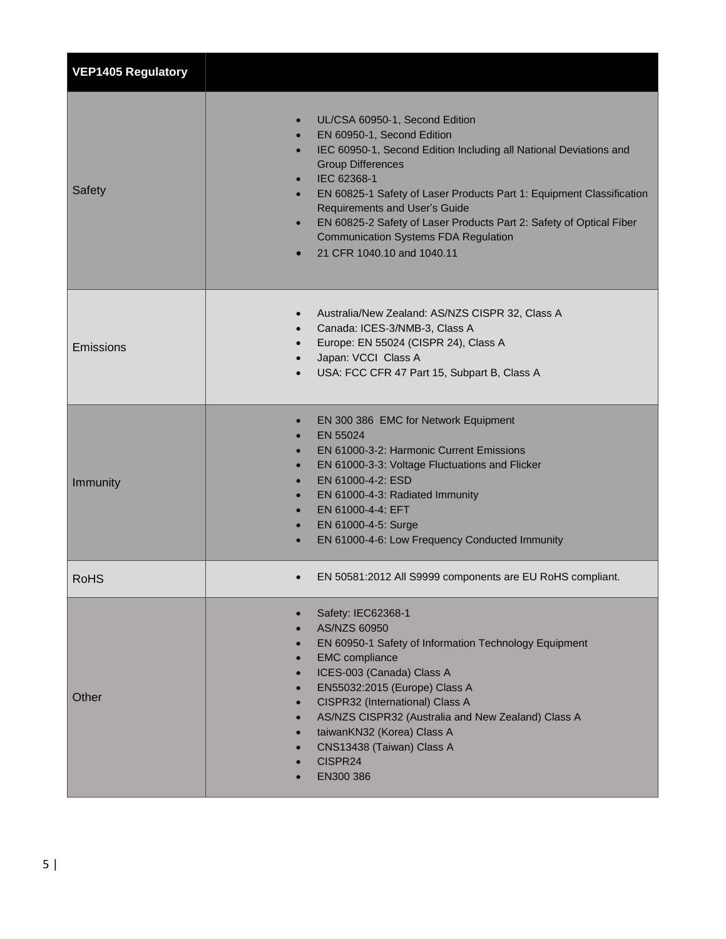| <b>VEP1405 Regulatory</b> |                                                                                                                                                                                                                                                                                                                                                                                                                                                                                                                                |
|---------------------------|--------------------------------------------------------------------------------------------------------------------------------------------------------------------------------------------------------------------------------------------------------------------------------------------------------------------------------------------------------------------------------------------------------------------------------------------------------------------------------------------------------------------------------|
| Safety                    | UL/CSA 60950-1, Second Edition<br>EN 60950-1, Second Edition<br>$\bullet$<br>IEC 60950-1, Second Edition Including all National Deviations and<br>$\bullet$<br><b>Group Differences</b><br>IEC 62368-1<br>$\bullet$<br>EN 60825-1 Safety of Laser Products Part 1: Equipment Classification<br>$\bullet$<br><b>Requirements and User's Guide</b><br>EN 60825-2 Safety of Laser Products Part 2: Safety of Optical Fiber<br>$\bullet$<br><b>Communication Systems FDA Regulation</b><br>21 CFR 1040.10 and 1040.11<br>$\bullet$ |
| Emissions                 | Australia/New Zealand: AS/NZS CISPR 32, Class A<br>$\bullet$<br>Canada: ICES-3/NMB-3, Class A<br>$\bullet$<br>Europe: EN 55024 (CISPR 24), Class A<br>$\bullet$<br>Japan: VCCI Class A<br>$\bullet$<br>USA: FCC CFR 47 Part 15, Subpart B, Class A<br>$\bullet$                                                                                                                                                                                                                                                                |
| Immunity                  | EN 300 386 EMC for Network Equipment<br>$\bullet$<br>EN 55024<br>$\bullet$<br>EN 61000-3-2: Harmonic Current Emissions<br>$\bullet$<br>EN 61000-3-3: Voltage Fluctuations and Flicker<br>$\bullet$<br>EN 61000-4-2: ESD<br>$\bullet$<br>EN 61000-4-3: Radiated Immunity<br>$\bullet$<br>EN 61000-4-4: EFT<br>$\bullet$<br>EN 61000-4-5: Surge<br>$\bullet$<br>EN 61000-4-6: Low Frequency Conducted Immunity                                                                                                                   |
| <b>RoHS</b>               | EN 50581:2012 All S9999 components are EU RoHS compliant.<br>$\bullet$                                                                                                                                                                                                                                                                                                                                                                                                                                                         |
| Other                     | Safety: IEC62368-1<br>$\bullet$<br>AS/NZS 60950<br>$\bullet$<br>EN 60950-1 Safety of Information Technology Equipment<br>$\bullet$<br><b>EMC</b> compliance<br>$\bullet$<br>ICES-003 (Canada) Class A<br>$\bullet$<br>EN55032:2015 (Europe) Class A<br>$\bullet$<br>CISPR32 (International) Class A<br>$\bullet$<br>AS/NZS CISPR32 (Australia and New Zealand) Class A<br>$\bullet$<br>taiwanKN32 (Korea) Class A<br>$\bullet$<br>CNS13438 (Taiwan) Class A<br>$\bullet$<br>CISPR24<br>EN300 386                               |